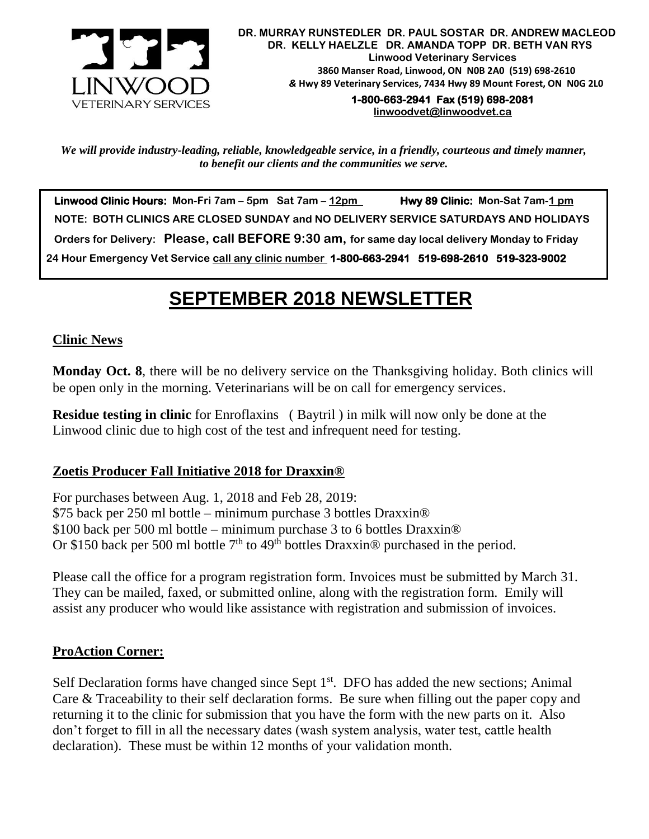

**1-800-663-2941 Fax (519) 698-2081 [linwoodvet@linwoodvet.ca](mailto:linwoodvet@linwoodvet.ca)**

*We will provide industry-leading, reliable, knowledgeable service, in a friendly, courteous and timely manner, to benefit our clients and the communities we serve.*

 **Linwood Clinic Hours: Mon-Fri 7am – 5pm Sat 7am – 12pm Hwy 89 Clinic: Mon-Sat 7am-1 pm NOTE: BOTH CLINICS ARE CLOSED SUNDAY and NO DELIVERY SERVICE SATURDAYS AND HOLIDAYS Orders for Delivery: Please, call BEFORE 9:30 am, for same day local delivery Monday to Friday 24 Hour Emergency Vet Service call any clinic number 1-800-663-2941 519-698-2610 519-323-9002**

# *!* **SEPTEMBER 2018 NEWSLETTER**

#### **Clinic News**

**Monday Oct. 8**, there will be no delivery service on the Thanksgiving holiday. Both clinics will be open only in the morning. Veterinarians will be on call for emergency services.

**Residue testing in clinic** for Enroflaxins ( Baytril ) in milk will now only be done at the Linwood clinic due to high cost of the test and infrequent need for testing.

#### **Zoetis Producer Fall Initiative 2018 for Draxxin®**

For purchases between Aug. 1, 2018 and Feb 28, 2019: \$75 back per 250 ml bottle – minimum purchase 3 bottles Draxxin® \$100 back per 500 ml bottle – minimum purchase 3 to 6 bottles Draxxin® Or \$150 back per 500 ml bottle  $7<sup>th</sup>$  to 49<sup>th</sup> bottles Draxxin<sup>®</sup> purchased in the period.

Please call the office for a program registration form. Invoices must be submitted by March 31. They can be mailed, faxed, or submitted online, along with the registration form. Emily will assist any producer who would like assistance with registration and submission of invoices.

#### **ProAction Corner:**

Self Declaration forms have changed since Sept  $1<sup>st</sup>$ . DFO has added the new sections; Animal Care & Traceability to their self declaration forms. Be sure when filling out the paper copy and returning it to the clinic for submission that you have the form with the new parts on it. Also don't forget to fill in all the necessary dates (wash system analysis, water test, cattle health declaration). These must be within 12 months of your validation month.